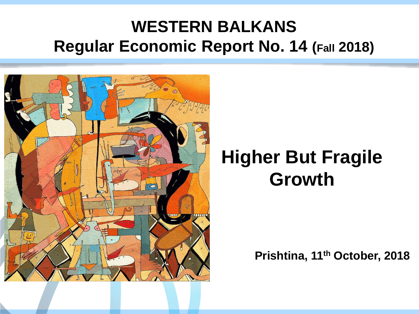### **WESTERN BALKANS Regular Economic Report No. 14 (Fall 2018)**



## **Higher But Fragile Growth**

**Prishtina, 11th October, 2018**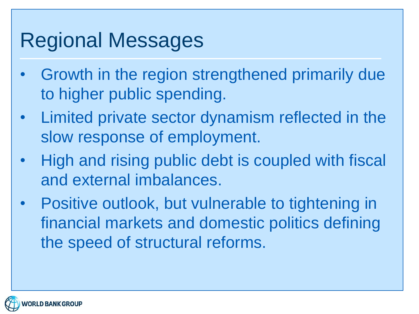# Regional Messages

- Growth in the region strengthened primarily due to higher public spending.
- Limited private sector dynamism reflected in the slow response of employment.
- High and rising public debt is coupled with fiscal and external imbalances.
- Positive outlook, but vulnerable to tightening in financial markets and domestic politics defining the speed of structural reforms.

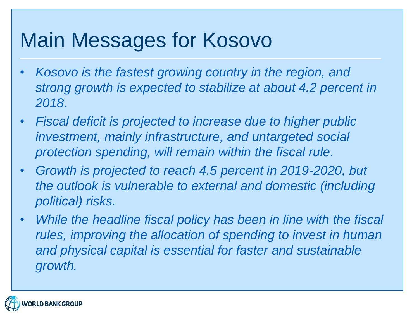# Main Messages for Kosovo

- *Kosovo is the fastest growing country in the region, and strong growth is expected to stabilize at about 4.2 percent in 2018.*
- *Fiscal deficit is projected to increase due to higher public investment, mainly infrastructure, and untargeted social protection spending, will remain within the fiscal rule.*
- *Growth is projected to reach 4.5 percent in 2019-2020, but the outlook is vulnerable to external and domestic (including political) risks.*
- *While the headline fiscal policy has been in line with the fiscal*  rules, improving the allocation of spending to invest in human *and physical capital is essential for faster and sustainable growth.*

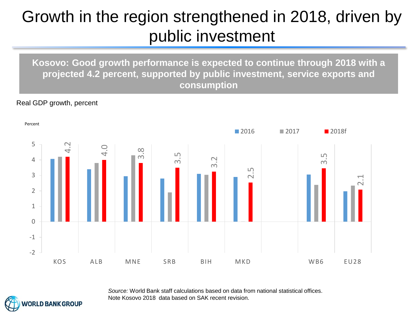### Growth in the region strengthened in 2018, driven by public investment

**Kosovo: Good growth performance is expected to continue through 2018 with a projected 4.2 percent, supported by public investment, service exports and consumption**

Real GDP growth, percent





**/ORLD BANK GROUP**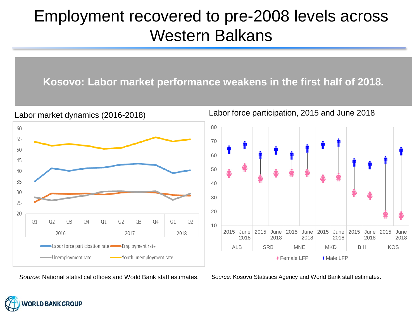### Employment recovered to pre-2008 levels across Western Balkans

### **Kosovo: Labor market performance weakens in the first half of 2018.**



*Source:* National statistical offices and World Bank staff estimates.

*Source:* Kosovo Statistics Agency and World Bank staff estimates.

 June   June 

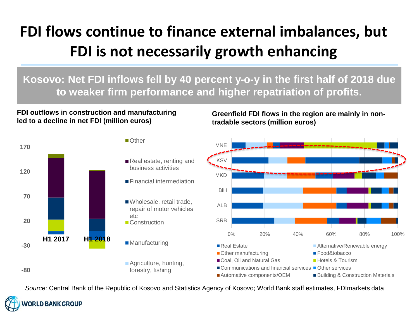### **FDI flows continue to finance external imbalances, but FDI is not necessarily growth enhancing**

**Kosovo: Net FDI inflows fell by 40 percent y-o-y in the first half of 2018 due to weaker firm performance and higher repatriation of profits.**

#### **FDI outflows in construction and manufacturing led to a decline in net FDI (million euros)**



#### ■Other

**Greenfield FDI flows in the region are mainly in nontradable sectors (million euros)**



*Source:* Central Bank of the Republic of Kosovo and Statistics Agency of Kosovo; World Bank staff estimates, FDImarkets data

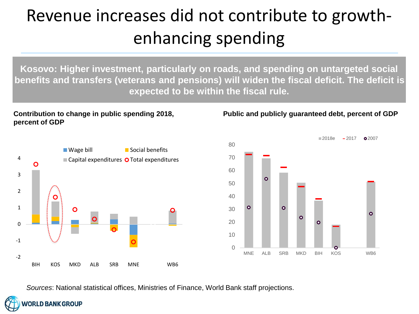# Revenue increases did not contribute to growthenhancing spending

**Kosovo: Higher investment, particularly on roads, and spending on untargeted social benefits and transfers (veterans and pensions) will widen the fiscal deficit. The deficit is expected to be within the fiscal rule.** 

#### **Contribution to change in public spending 2018, percent of GDP**



#### **Public and publicly guaranteed debt, percent of GDP**



*Sources*: National statistical offices, Ministries of Finance, World Bank staff projections.

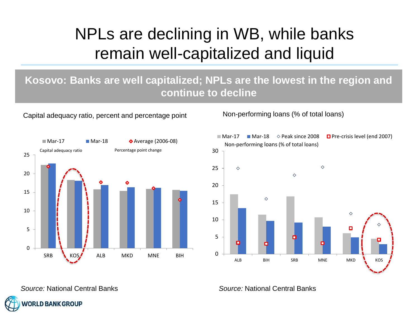### NPLs are declining in WB, while banks remain well-capitalized and liquid

### **Kosovo: Banks are well capitalized; NPLs are the lowest in the region and continue to decline**

### Capital adequacy ratio, percent and percentage point Non-performing loans (% of total loans)





*Source:* National Central Banks

*Source:* National Central Banks

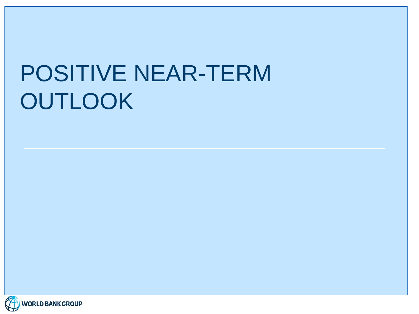# POSITIVE NEAR-TERM **OUTLOOK**

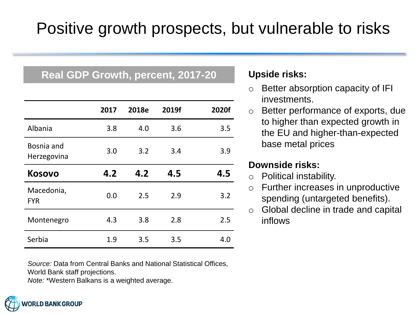### **Real GDP Growth, percent, 2017-20 Upside risks:**

|                           | 2017 | 2018e | 2019f | 2020f |
|---------------------------|------|-------|-------|-------|
| Albania                   | 3.8  | 4.0   | 3.6   | 3.5   |
| Bosnia and<br>Herzegovina | 3.0  | 3.2   | 3.4   | 3.9   |
| <b>Kosovo</b>             | 4.2  | 4.2   | 4.5   | 4.5   |
| Macedonia,<br><b>FYR</b>  | 0.0  | 2.5   | 2.9   | 3.2   |
| Montenegro                | 4.3  | 3.8   | 2.8   | 2.5   |
| Serbia                    | 1.9  | 3.5   | 3.5   | 4.0   |

*Source:* Data from Central Banks and National Statistical Offices, World Bank staff projections.

*Note:* \*Western Balkans is a weighted average.

- o Better absorption capacity of IFI investments.
- o Better performance of exports, due to higher than expected growth in the EU and higher-than-expected base metal prices

### **Downside risks:**

- o Political instability.
- o Further increases in unproductive spending (untargeted benefits).
- o Global decline in trade and capital inflows